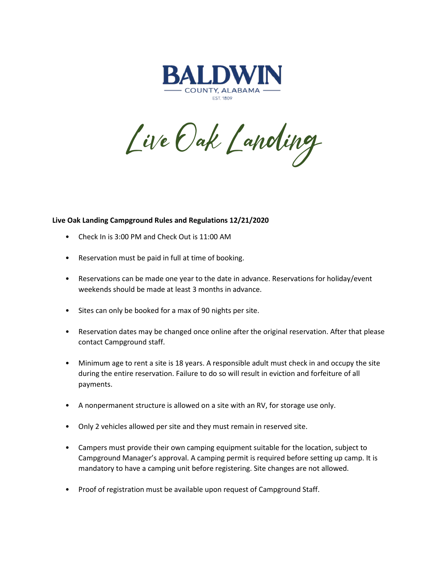

Live Oak Landing

## **Live Oak Landing Campground Rules and Regulations 12/21/2020**

- Check In is 3:00 PM and Check Out is 11:00 AM
- Reservation must be paid in full at time of booking.
- Reservations can be made one year to the date in advance. Reservations for holiday/event weekends should be made at least 3 months in advance.
- Sites can only be booked for a max of 90 nights per site.
- Reservation dates may be changed once online after the original reservation. After that please contact Campground staff.
- Minimum age to rent a site is 18 years. A responsible adult must check in and occupy the site during the entire reservation. Failure to do so will result in eviction and forfeiture of all payments.
- A nonpermanent structure is allowed on a site with an RV, for storage use only.
- Only 2 vehicles allowed per site and they must remain in reserved site.
- Campers must provide their own camping equipment suitable for the location, subject to Campground Manager's approval. A camping permit is required before setting up camp. It is mandatory to have a camping unit before registering. Site changes are not allowed.
- Proof of registration must be available upon request of Campground Staff.